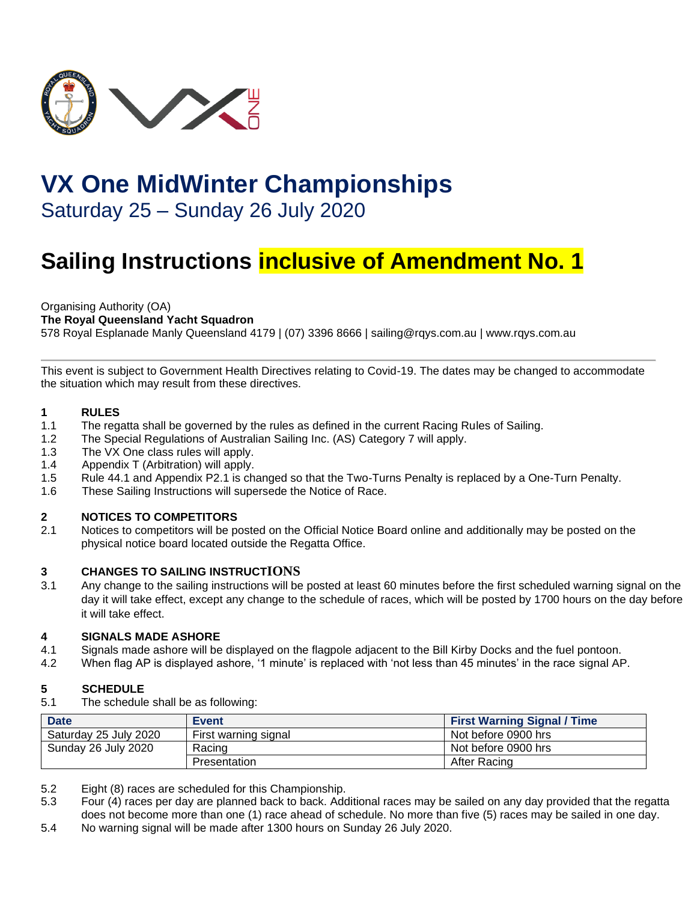

# **VX One MidWinter Championships**

Saturday 25 – Sunday 26 July 2020

# **Sailing Instructions inclusive of Amendment No. 1**

Organising Authority (OA)

**The Royal Queensland Yacht Squadron** 

578 Royal Esplanade Manly Queensland 4179 | (07) 3396 8666 | sailing@rqys.com.au | www.rqys.com.au

This event is subject to Government Health Directives relating to Covid-19. The dates may be changed to accommodate the situation which may result from these directives.

# **1 RULES**

- The regatta shall be governed by the rules as defined in the current Racing Rules of Sailing.
- 1.2 The Special Regulations of Australian Sailing Inc. (AS) Category 7 will apply.
- 1.3 The VX One class rules will apply.
- 1.4 Appendix T (Arbitration) will apply.
- 1.5 Rule 44.1 and Appendix P2.1 is changed so that the Two-Turns Penalty is replaced by a One-Turn Penalty.
- 1.6 These Sailing Instructions will supersede the Notice of Race.

# **2 NOTICES TO COMPETITORS**

2.1 Notices to competitors will be posted on the [Official Notice Board online](https://www.rqys.com.au/sailingnoticeboard/) and additionally may be posted on the physical notice board located outside the Regatta Office.

# **3 CHANGES TO SAILING INSTRUCTIONS**

3.1 Any change to the sailing instructions will be posted at least 60 minutes before the first scheduled warning signal on the day it will take effect, except any change to the schedule of races, which will be posted by 1700 hours on the day before it will take effect.

# **4 SIGNALS MADE ASHORE**

- 4.1 Signals made ashore will be displayed on the flagpole adjacent to the Bill Kirby Docks and the fuel pontoon.
- 4.2 When flag AP is displayed ashore, '1 minute' is replaced with 'not less than 45 minutes' in the race signal AP.

# **5 SCHEDULE**

5.1 The schedule shall be as following:

| <b>Date</b>           | <b>Event</b>         | <b>First Warning Signal / Time</b> |
|-----------------------|----------------------|------------------------------------|
| Saturday 25 July 2020 | First warning signal | Not before 0900 hrs                |
| Sunday 26 July 2020   | Racing               | Not before 0900 hrs                |
|                       | <b>Presentation</b>  | After Racing                       |

- 5.2 Eight (8) races are scheduled for this Championship.
- 5.3 Four (4) races per day are planned back to back. Additional races may be sailed on any day provided that the regatta does not become more than one (1) race ahead of schedule. No more than five (5) races may be sailed in one day.
- 5.4 No warning signal will be made after 1300 hours on Sunday 26 July 2020.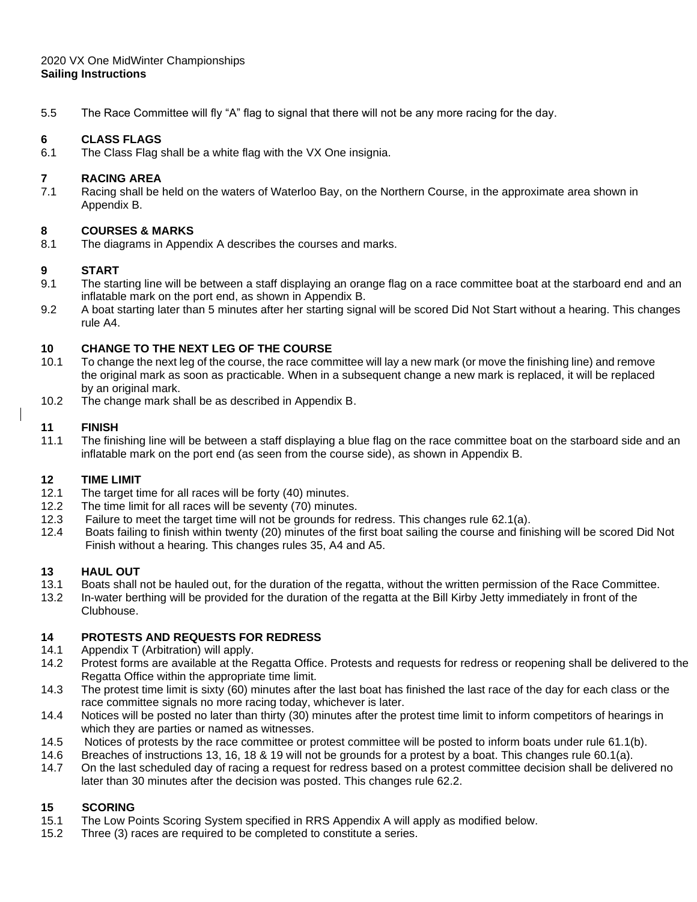#### 2020 VX One MidWinter Championships **Sailing Instructions**

5.5 The Race Committee will fly "A" flag to signal that there will not be any more racing for the day.

#### **6 CLASS FLAGS**

6.1 The Class Flag shall be a white flag with the VX One insignia.

#### **7 RACING AREA**

7.1 Racing shall be held on the waters of Waterloo Bay, on the Northern Course, in the approximate area shown in Appendix B.

#### **8 COURSES & MARKS**

8.1 The diagrams in Appendix A describes the courses and marks.

#### **9 START**

- 9.1 The starting line will be between a staff displaying an orange flag on a race committee boat at the starboard end and an inflatable mark on the port end, as shown in Appendix B.
- 9.2 A boat starting later than 5 minutes after her starting signal will be scored Did Not Start without a hearing. This changes rule A4.

#### **10 CHANGE TO THE NEXT LEG OF THE COURSE**

- 10.1 To change the next leg of the course, the race committee will lay a new mark (or move the finishing line) and remove the original mark as soon as practicable. When in a subsequent change a new mark is replaced, it will be replaced by an original mark.
- 10.2 The change mark shall be as described in Appendix B.

#### **11 FINISH**

11.1 The finishing line will be between a staff displaying a blue flag on the race committee boat on the starboard side and an inflatable mark on the port end (as seen from the course side), as shown in Appendix B.

#### **12 TIME LIMIT**

- 12.1 The target time for all races will be forty (40) minutes.
- 12.2 The time limit for all races will be seventy (70) minutes.
- 12.3 Failure to meet the target time will not be grounds for redress. This changes rule 62.1(a).
- 12.4 Boats failing to finish within twenty (20) minutes of the first boat sailing the course and finishing will be scored Did Not Finish without a hearing. This changes rules 35, A4 and A5.

#### **13 HAUL OUT**

- 13.1 Boats shall not be hauled out, for the duration of the regatta, without the written permission of the Race Committee.
- 13.2 In-water berthing will be provided for the duration of the regatta at the Bill Kirby Jetty immediately in front of the Clubhouse.

# **14 PROTESTS AND REQUESTS FOR REDRESS**

- 14.1 Appendix T (Arbitration) will apply.
- 14.2 Protest forms are available at the Regatta Office. Protests and requests for redress or reopening shall be delivered to the Regatta Office within the appropriate time limit.
- 14.3 The protest time limit is sixty (60) minutes after the last boat has finished the last race of the day for each class or the race committee signals no more racing today, whichever is later.
- 14.4 Notices will be posted no later than thirty (30) minutes after the protest time limit to inform competitors of hearings in which they are parties or named as witnesses.
- 14.5 Notices of protests by the race committee or protest committee will be posted to inform boats under rule 61.1(b).
- 14.6 Breaches of instructions 13, 16, 18 & 19 will not be grounds for a protest by a boat. This changes rule 60.1(a).
- 14.7 On the last scheduled day of racing a request for redress based on a protest committee decision shall be delivered no later than 30 minutes after the decision was posted. This changes rule 62.2.

#### **15 SCORING**

- 15.1 The Low Points Scoring System specified in RRS Appendix A will apply as modified below.
- 15.2 Three (3) races are required to be completed to constitute a series.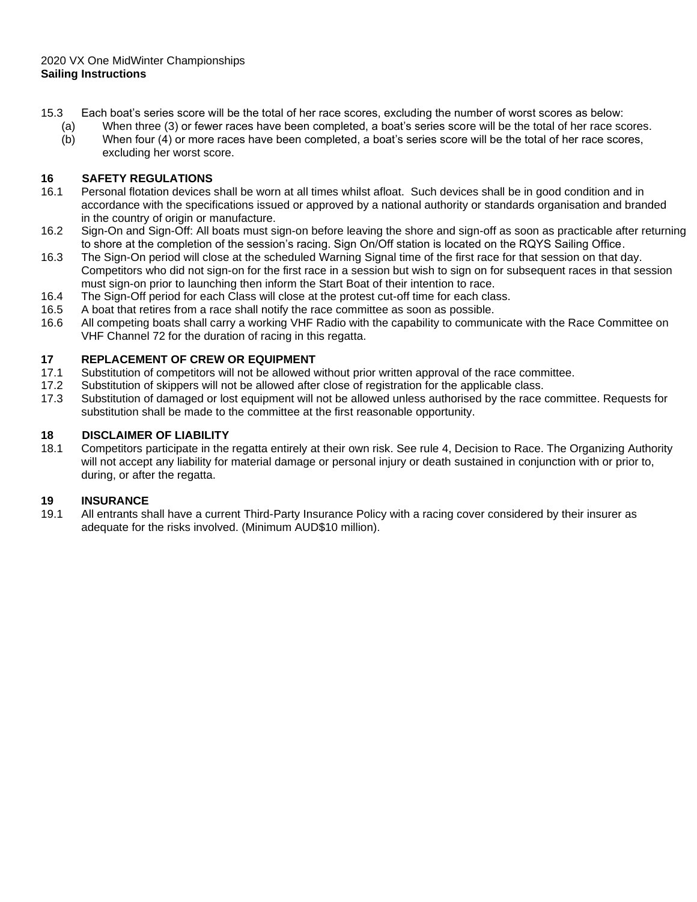excluding her worst score.

- 15.3 Each boat's series score will be the total of her race scores, excluding the number of worst scores as below:
	- (a) When three (3) or fewer races have been completed, a boat's series score will be the total of her race scores. (b) When four (4) or more races have been completed, a boat's series score will be the total of her race scores,

# **16 SAFETY REGULATIONS**

- 16.1 Personal flotation devices shall be worn at all times whilst afloat. Such devices shall be in good condition and in accordance with the specifications issued or approved by a national authority or standards organisation and branded in the country of origin or manufacture.
- 16.2 Sign-On and Sign-Off: All boats must sign-on before leaving the shore and sign-off as soon as practicable after returning to shore at the completion of the session's racing. Sign On/Off station is located on the RQYS Sailing Office.
- 16.3 The Sign-On period will close at the scheduled Warning Signal time of the first race for that session on that day. Competitors who did not sign-on for the first race in a session but wish to sign on for subsequent races in that session must sign-on prior to launching then inform the Start Boat of their intention to race.
- 16.4 The Sign-Off period for each Class will close at the protest cut-off time for each class.
- 16.5 A boat that retires from a race shall notify the race committee as soon as possible.
- 16.6 All competing boats shall carry a working VHF Radio with the capability to communicate with the Race Committee on VHF Channel 72 for the duration of racing in this regatta.

# **17 REPLACEMENT OF CREW OR EQUIPMENT**

- 17.1 Substitution of competitors will not be allowed without prior written approval of the race committee.
- 17.2 Substitution of skippers will not be allowed after close of registration for the applicable class.
- 17.3 Substitution of damaged or lost equipment will not be allowed unless authorised by the race committee. Requests for substitution shall be made to the committee at the first reasonable opportunity.

# **18 DISCLAIMER OF LIABILITY**

18.1 Competitors participate in the regatta entirely at their own risk. See rule 4, Decision to Race. The Organizing Authority will not accept any liability for material damage or personal injury or death sustained in conjunction with or prior to, during, or after the regatta.

# **19 INSURANCE**

19.1 All entrants shall have a current Third-Party Insurance Policy with a racing cover considered by their insurer as adequate for the risks involved. (Minimum AUD\$10 million).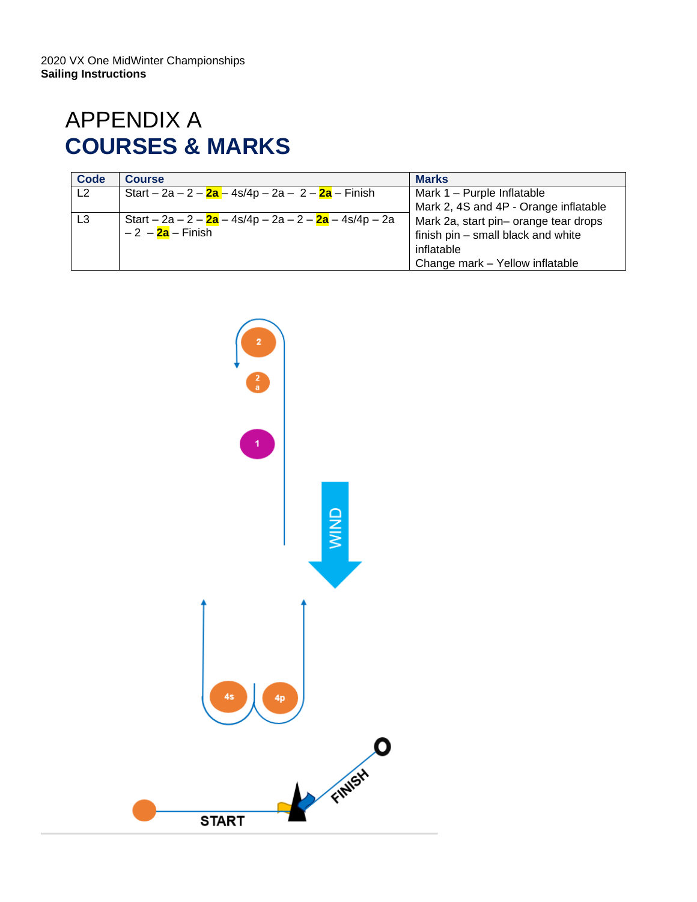# APPENDIX A **COURSES & MARKS**

| Code           | <b>Course</b>                                          | <b>Marks</b>                          |
|----------------|--------------------------------------------------------|---------------------------------------|
| L2             | Start – 2a – 2 – 2a – 4s/4p – 2a – 2 – 2a – Finish     | Mark 1 - Purple Inflatable            |
|                |                                                        | Mark 2, 4S and 4P - Orange inflatable |
| L <sub>3</sub> | Start – 2a – 2 – 2a – 4s/4p – 2a – 2 – 2a – 4s/4p – 2a | Mark 2a, start pin- orange tear drops |
|                | – 2  – <mark>2a</mark> – Finish                        | finish pin - small black and white    |
|                |                                                        | inflatable                            |
|                |                                                        | Change mark - Yellow inflatable       |